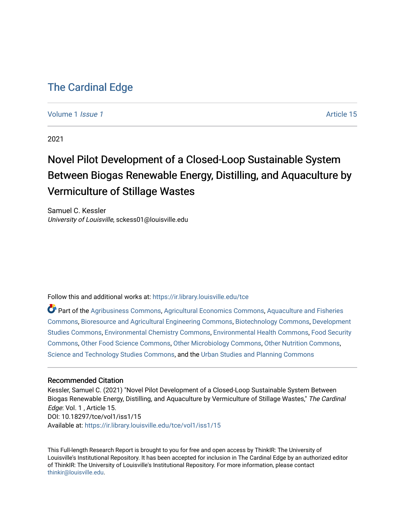## [The Cardinal Edge](https://ir.library.louisville.edu/tce)

#### [Volume 1](https://ir.library.louisville.edu/tce/vol1) *Issue 1* Article 15

2021

# Novel Pilot Development of a Closed-Loop Sustainable System Between Biogas Renewable Energy, Distilling, and Aquaculture by Vermiculture of Stillage Wastes

Samuel C. Kessler University of Louisville, sckess01@louisville.edu

Follow this and additional works at: [https://ir.library.louisville.edu/tce](https://ir.library.louisville.edu/tce?utm_source=ir.library.louisville.edu%2Ftce%2Fvol1%2Fiss1%2F15&utm_medium=PDF&utm_campaign=PDFCoverPages)

Part of the [Agribusiness Commons,](http://network.bepress.com/hgg/discipline/1051?utm_source=ir.library.louisville.edu%2Ftce%2Fvol1%2Fiss1%2F15&utm_medium=PDF&utm_campaign=PDFCoverPages) [Agricultural Economics Commons](http://network.bepress.com/hgg/discipline/1225?utm_source=ir.library.louisville.edu%2Ftce%2Fvol1%2Fiss1%2F15&utm_medium=PDF&utm_campaign=PDFCoverPages), [Aquaculture and Fisheries](http://network.bepress.com/hgg/discipline/78?utm_source=ir.library.louisville.edu%2Ftce%2Fvol1%2Fiss1%2F15&utm_medium=PDF&utm_campaign=PDFCoverPages) [Commons](http://network.bepress.com/hgg/discipline/78?utm_source=ir.library.louisville.edu%2Ftce%2Fvol1%2Fiss1%2F15&utm_medium=PDF&utm_campaign=PDFCoverPages), [Bioresource and Agricultural Engineering Commons,](http://network.bepress.com/hgg/discipline/1056?utm_source=ir.library.louisville.edu%2Ftce%2Fvol1%2Fiss1%2F15&utm_medium=PDF&utm_campaign=PDFCoverPages) [Biotechnology Commons,](http://network.bepress.com/hgg/discipline/111?utm_source=ir.library.louisville.edu%2Ftce%2Fvol1%2Fiss1%2F15&utm_medium=PDF&utm_campaign=PDFCoverPages) [Development](http://network.bepress.com/hgg/discipline/1422?utm_source=ir.library.louisville.edu%2Ftce%2Fvol1%2Fiss1%2F15&utm_medium=PDF&utm_campaign=PDFCoverPages)  [Studies Commons,](http://network.bepress.com/hgg/discipline/1422?utm_source=ir.library.louisville.edu%2Ftce%2Fvol1%2Fiss1%2F15&utm_medium=PDF&utm_campaign=PDFCoverPages) [Environmental Chemistry Commons](http://network.bepress.com/hgg/discipline/134?utm_source=ir.library.louisville.edu%2Ftce%2Fvol1%2Fiss1%2F15&utm_medium=PDF&utm_campaign=PDFCoverPages), [Environmental Health Commons](http://network.bepress.com/hgg/discipline/64?utm_source=ir.library.louisville.edu%2Ftce%2Fvol1%2Fiss1%2F15&utm_medium=PDF&utm_campaign=PDFCoverPages), [Food Security](http://network.bepress.com/hgg/discipline/1332?utm_source=ir.library.louisville.edu%2Ftce%2Fvol1%2Fiss1%2F15&utm_medium=PDF&utm_campaign=PDFCoverPages)  [Commons](http://network.bepress.com/hgg/discipline/1332?utm_source=ir.library.louisville.edu%2Ftce%2Fvol1%2Fiss1%2F15&utm_medium=PDF&utm_campaign=PDFCoverPages), [Other Food Science Commons,](http://network.bepress.com/hgg/discipline/89?utm_source=ir.library.louisville.edu%2Ftce%2Fvol1%2Fiss1%2F15&utm_medium=PDF&utm_campaign=PDFCoverPages) [Other Microbiology Commons](http://network.bepress.com/hgg/discipline/54?utm_source=ir.library.louisville.edu%2Ftce%2Fvol1%2Fiss1%2F15&utm_medium=PDF&utm_campaign=PDFCoverPages), [Other Nutrition Commons,](http://network.bepress.com/hgg/discipline/101?utm_source=ir.library.louisville.edu%2Ftce%2Fvol1%2Fiss1%2F15&utm_medium=PDF&utm_campaign=PDFCoverPages) [Science and Technology Studies Commons](http://network.bepress.com/hgg/discipline/435?utm_source=ir.library.louisville.edu%2Ftce%2Fvol1%2Fiss1%2F15&utm_medium=PDF&utm_campaign=PDFCoverPages), and the [Urban Studies and Planning Commons](http://network.bepress.com/hgg/discipline/436?utm_source=ir.library.louisville.edu%2Ftce%2Fvol1%2Fiss1%2F15&utm_medium=PDF&utm_campaign=PDFCoverPages)

#### Recommended Citation

Kessler, Samuel C. (2021) "Novel Pilot Development of a Closed-Loop Sustainable System Between Biogas Renewable Energy, Distilling, and Aquaculture by Vermiculture of Stillage Wastes," The Cardinal Edge: Vol. 1 , Article 15. DOI: 10.18297/tce/vol1/iss1/15 Available at: [https://ir.library.louisville.edu/tce/vol1/iss1/15](https://ir.library.louisville.edu/tce/vol1/iss1/15?utm_source=ir.library.louisville.edu%2Ftce%2Fvol1%2Fiss1%2F15&utm_medium=PDF&utm_campaign=PDFCoverPages) 

This Full-length Research Report is brought to you for free and open access by ThinkIR: The University of Louisville's Institutional Repository. It has been accepted for inclusion in The Cardinal Edge by an authorized editor of ThinkIR: The University of Louisville's Institutional Repository. For more information, please contact [thinkir@louisville.edu.](mailto:thinkir@louisville.edu)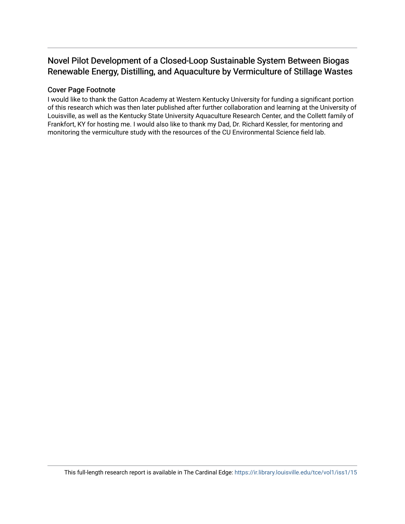### Novel Pilot Development of a Closed-Loop Sustainable System Between Biogas Renewable Energy, Distilling, and Aquaculture by Vermiculture of Stillage Wastes

#### Cover Page Footnote

I would like to thank the Gatton Academy at Western Kentucky University for funding a significant portion of this research which was then later published after further collaboration and learning at the University of Louisville, as well as the Kentucky State University Aquaculture Research Center, and the Collett family of Frankfort, KY for hosting me. I would also like to thank my Dad, Dr. Richard Kessler, for mentoring and monitoring the vermiculture study with the resources of the CU Environmental Science field lab.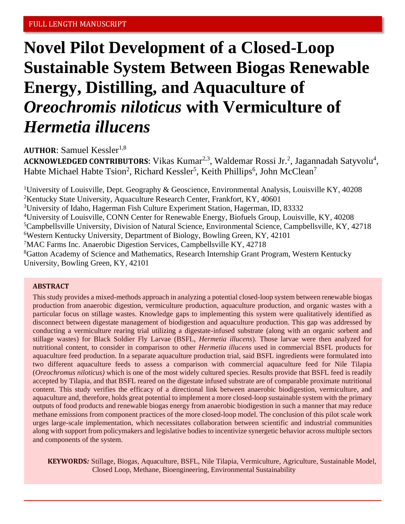# **Novel Pilot Development of a Closed-Loop Sustainable System Between Biogas Renewable Energy, Distilling, and Aquaculture of**  *Oreochromis niloticus* **with Vermiculture of**  *Hermetia illucens*

**AUTHOR: Samuel Kessler**<sup>1,8</sup>

ACKNOWLEDGED CONTRIBUTORS: Vikas Kumar<sup>2,3</sup>, Waldemar Rossi Jr.<sup>2</sup>, Jagannadah Satyvolu<sup>4</sup>, Habte Michael Habte Tsion<sup>2</sup>, Richard Kessler<sup>5</sup>, Keith Phillips<sup>6</sup>, John McClean<sup>7</sup>

<sup>1</sup>University of Louisville, Dept. Geography & Geoscience, Environmental Analysis, Louisville KY, 40208 <sup>2</sup>Kentucky State University, Aquaculture Research Center, Frankfort, KY, 40601 <sup>3</sup>University of Idaho, Hagerman Fish Culture Experiment Station, Hagerman, ID, 83332 <sup>4</sup>University of Louisville, CONN Center for Renewable Energy, Biofuels Group, Louisville, KY, 40208 <sup>5</sup>Campbellsville University, Division of Natural Science, Environmental Science, Campbellsville, KY, 42718 <sup>6</sup>Western Kentucky University, Department of Biology, Bowling Green, KY, 42101 <sup>7</sup>MAC Farms Inc. Anaerobic Digestion Services, Campbellsville KY, 42718 <sup>8</sup>Gatton Academy of Science and Mathematics, Research Internship Grant Program, Western Kentucky University, Bowling Green, KY, 42101

#### **ABSTRACT**

This study provides a mixed-methods approach in analyzing a potential closed-loop system between renewable biogas production from anaerobic digestion, vermiculture production, aquaculture production, and organic wastes with a particular focus on stillage wastes. Knowledge gaps to implementing this system were qualitatively identified as disconnect between digestate management of biodigestion and aquaculture production. This gap was addressed by conducting a vermiculture rearing trial utilizing a digestate-infused substrate (along with an organic sorbent and stillage wastes) for Black Soldier Fly Larvae (BSFL, *Hermetia illucens*). Those larvae were then analyzed for nutritional content, to consider in comparison to other *Hermetia illucens* used in commercial BSFL products for aquaculture feed production. In a separate aquaculture production trial, said BSFL ingredients were formulated into two different aquaculture feeds to assess a comparison with commercial aquaculture feed for Nile Tilapia (*Oreochromus niloticus)* which is one of the most widely cultured species. Results provide that BSFL feed is readily accepted by Tilapia, and that BSFL reared on the digestate infused substrate are of comparable proximate nutritional content. This study verifies the efficacy of a directional link between anaerobic biodigestion, vermiculture, and aquaculture and, therefore, holds great potential to implement a more closed-loop sustainable system with the primary outputs of food products and renewable biogas energy from anaerobic biodigestion in such a manner that may reduce methane emissions from component practices of the more closed-loop model. The conclusion of this pilot scale work urges large-scale implementation, which necessitates collaboration between scientific and industrial communities along with support from policymakers and legislative bodies to incentivize synergetic behavior across multiple sectors and components of the system.

**KEYWORDS***:* Stillage, Biogas, Aquaculture, BSFL, Nile Tilapia, Vermiculture, Agriculture, Sustainable Model, Closed Loop, Methane, Bioengineering, Environmental Sustainability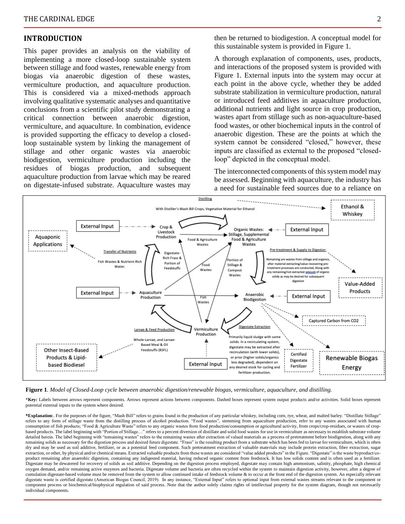#### **INTRODUCTION**

This paper provides an analysis on the viability of implementing a more closed-loop sustainable system between stillage and food wastes, renewable energy from biogas via anaerobic digestion of these wastes, vermiculture production, and aquaculture production. This is considered via a mixed-methods approach involving qualitative systematic analyses and quantitative conclusions from a scientific pilot study demonstrating a critical connection between anaerobic digestion, vermiculture, and aquaculture. In combination, evidence is provided supporting the efficacy to develop a closedloop sustainable system by linking the management of stillage and other organic wastes via anaerobic biodigestion, vermiculture production including the residues of biogas production, and subsequent aquaculture production from larvae which may be reared on digestate-infused substrate. Aquaculture wastes may

then be returned to biodigestion. A conceptual model for this sustainable system is provided in Figure 1.

A thorough explanation of components, uses, products, and interactions of the proposed system is provided with Figure 1. External inputs into the system may occur at each point in the above cycle, whether they be added substrate stabilization in vermiculture production, natural or introduced feed additives in aquaculture production, additional nutrients and light source in crop production, wastes apart from stillage such as non-aquaculture-based food wastes, or other biochemical inputs in the control of anaerobic digestion. These are the points at which the system cannot be considered "closed," however, these inputs are classified as external to the proposed "closedloop" depicted in the conceptual model.

The interconnected components of this system model may be assessed. Beginning with aquaculture, the industry has a need for sustainable feed sources due to a reliance on





\***Key:** Labels between arrows represent components. Arrows represent actions between components. Dashed boxes represent system output products and/or activities. Solid boxes represent potential external inputs to the system where desired.

**\*Explanation**:. For the purposes of the figure, "Mash Bill" refers to grains found in the production of any particular whiskey, including corn, rye, wheat, and malted barley. "Distillate Stillage" refers to any form of stillage waste from the distilling process of alcohol production. "Food wastes", stemming from aquaculture production, refer to any wastes associated with human consumption of fish products; "Food & Agriculture Waste" refers to any organic wastes from food production/consumption or agricultural activity, from crops/crop-residues, or wastes of cropbased products. The label beginning with "Portion of Stillage…" refers to a percent diversion of distillate and solid food wastes for use in vermiculture as necessary to establish substrate volume detailed herein. The label beginning with "remaining wastes" refers to the remaining wastes after extraction of valued materials as a process of pretreatment before biodigestion, along with any remaining solids as necessary for the digestion process and desired future digestate. "Frass" is the resulting product from a substrate which has been fed to larvae for vermiculture, which is often remaining solids as nece dry and may be used as soil additive, fertilizer, or as a potential feed component. Such pretreatment extraction of valuable materials may include protein extraction, fiber extraction, sugar extraction, or other, by physical and/or chemical means. Extracted valuable products from these wastes are considered "value added products" in the Figure. "Digestate" is the waste byproduct/coproduct remaining after anaerobic digestion, containing any indigested material, having reduced organic content from feedstock. It has low solids content and is often used as a fertilizer. Digestate may be dewatered for recovery of solids as soil additive. Depending on the digestion process employed, digestate may contain high ammonium, salinity, phosphate, high chemical oxygen demand, and/or remaining active enzymes and bacteria. Digestate volume and bacteria are often recycled within the system to maintain digestion activity, however, after a degree of cumulation digestate-based volume must be removed from the system to allow continued intake of feedstock volume & to occur at the front end of the digestion system. An especially relevant digestate waste is certified digestate (American Biogas Council, 2019). In any instance, "External Input" refers to optional input from external wastes streams relevant to the component or component process or biochemical/biophysical regulation of said process. Note that the author solely claims rights of intellectual property for the system diagram, though not necessarily individual components.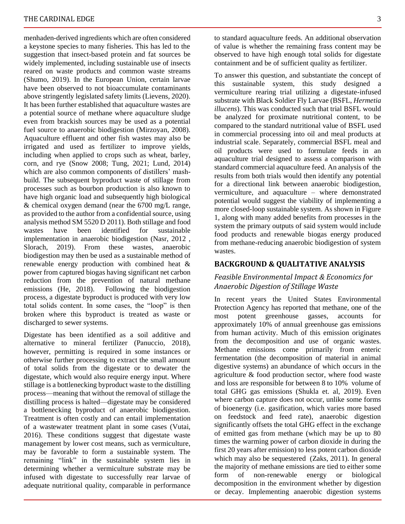menhaden-derived ingredients which are often considered a keystone species to many fisheries. This has led to the suggestion that insect-based protein and fat sources be widely implemented, including sustainable use of insects reared on waste products and common waste streams (Shumo, 2019). In the European Union, certain larvae have been observed to not bioaccumulate contaminants above stringently legislated safety limits (Lievens, 2020). It has been further established that aquaculture wastes are a potential source of methane where aquaculture sludge even from brackish sources may be used as a potential fuel source to anaerobic biodigestion (Mirzoyan, 2008). Aquaculture effluent and other fish wastes may also be irrigated and used as fertilizer to improve yields, including when applied to crops such as wheat, barley, corn, and rye (Snow 2008; Tung, 2021; Lund, 2014) which are also common components of distillers' mashbuild. The subsequent byproduct waste of stillage from processes such as bourbon production is also known to have high organic load and subsequently high biological & chemical oxygen demand (near the 6700 mg/L range, as provided to the author from a confidential source, using analysis method SM 5520 D 2011). Both stillage and food wastes have been identified for sustainable implementation in anaerobic biodigestion (Nasr, 2012 , Slorach, 2019). From these wastes, anaerobic biodigestion may then be used as a sustainable method of renewable energy production with combined heat & power from captured biogas having significant net carbon reduction from the prevention of natural methane emissions (He, 2018). Following the biodigestion process, a digestate byproduct is produced with very low total solids content. In some cases, the "loop" is then broken where this byproduct is treated as waste or discharged to sewer systems.

Digestate has been identified as a soil additive and alternative to mineral fertilizer (Panuccio, 2018), however, permitting is required in some instances or otherwise further processing to extract the small amount of total solids from the digestate or to dewater the digestate, which would also require energy input. Where stillage is a bottlenecking byproduct waste to the distilling process—meaning that without the removal of stillage the distilling process is halted—digestate may be considered a bottlenecking byproduct of anaerobic biodigestion. Treatment is often costly and can entail implementation of a wastewater treatment plant in some cases (Vutai, 2016). These conditions suggest that digestate waste management by lower cost means, such as vermiculture, may be favorable to form a sustainable system. The remaining "link" in the sustainable system lies in determining whether a vermiculture substrate may be infused with digestate to successfully rear larvae of adequate nutritional quality, comparable in performance

to standard aquaculture feeds. An additional observation of value is whether the remaining frass content may be observed to have high enough total solids for digestate containment and be of sufficient quality as fertilizer.

To answer this question, and substantiate the concept of this sustainable system, this study designed a vermiculture rearing trial utilizing a digestate-infused substrate with Black Soldier Fly Larvae (BSFL, *Hermetia illucens*). This was conducted such that trial BSFL would be analyzed for proximate nutritional content, to be compared to the standard nutritional value of BSFL used in commercial processing into oil and meal products at industrial scale. Separately, commercial BSFL meal and oil products were used to formulate feeds in an aquaculture trial designed to assess a comparison with standard commercial aquaculture feed. An analysis of the results from both trials would then identify any potential for a directional link between anaerobic biodigestion, vermiculture, and aquaculture – where demonstrated potential would suggest the viability of implementing a more closed-loop sustainable system. As shown in Figure 1, along with many added benefits from processes in the system the primary outputs of said system would include food products and renewable biogas energy produced from methane-reducing anaerobic biodigestion of system wastes.

#### **BACKGROUND & QUALITATIVE ANALYSIS**

#### *Feasible Environmental Impact & Economics for Anaerobic Digestion of Stillage Waste*

In recent years the United States Environmental Protection Agency has reported that methane, one of the most potent greenhouse gasses, accounts for approximately 10% of annual greenhouse gas emissions from human activity. Much of this emission originates from the decomposition and use of organic wastes. Methane emissions come primarily from enteric fermentation (the decomposition of material in animal digestive systems) an abundance of which occurs in the agriculture & food production sector, where food waste and loss are responsible for between 8 to 10% volume of total GHG gas emissions (Shukla et. al, 2019). Even where carbon capture does not occur, unlike some forms of bioenergy (i.e. gasification, which varies more based on feedstock and feed rate), anaerobic digestion significantly offsets the total GHG effect in the exchange of emitted gas from methane (which may be up to 80 times the warming power of carbon dioxide in during the first 20 years after emission) to less potent carbon dioxide which may also be sequestered (Zaks, 2011). In general the majority of methane emissions are tied to either some form of non-renewable energy or biological decomposition in the environment whether by digestion or decay. Implementing anaerobic digestion systems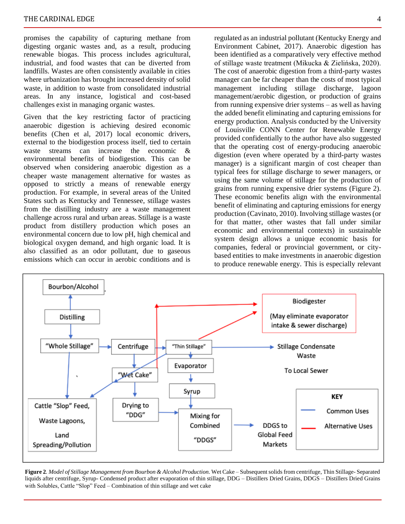promises the capability of capturing methane from digesting organic wastes and, as a result, producing renewable biogas. This process includes agricultural, industrial, and food wastes that can be diverted from landfills. Wastes are often consistently available in cities where urbanization has brought increased density of solid waste, in addition to waste from consolidated industrial areas. In any instance, logistical and cost-based challenges exist in managing organic wastes.

Given that the key restricting factor of practicing anaerobic digestion is achieving desired economic benefits (Chen et al, 2017) local economic drivers, external to the biodigestion process itself, tied to certain waste streams can increase the economic & environmental benefits of biodigestion. This can be observed when considering anaerobic digestion as a cheaper waste management alternative for wastes as opposed to strictly a means of renewable energy production. For example, in several areas of the United States such as Kentucky and Tennessee, stillage wastes from the distilling industry are a waste management challenge across rural and urban areas. Stillage is a waste product from distillery production which poses an environmental concern due to low pH, high chemical and biological oxygen demand, and high organic load. It is also classified as an odor pollutant, due to gaseous emissions which can occur in aerobic conditions and is

regulated as an industrial pollutant (Kentucky Energy and Environment Cabinet, 2017). Anaerobic digestion has been identified as a comparatively very effective method of stillage waste treatment (Mikucka & Zielińska, 2020). The cost of anaerobic digestion from a third-party wastes manager can be far cheaper than the costs of most typical management including stillage discharge, lagoon management/aerobic digestion, or production of grains from running expensive drier systems – as well as having the added benefit eliminating and capturing emissions for energy production. Analysis conducted by the University of Louisville CONN Center for Renewable Energy provided confidentially to the author have also suggested that the operating cost of energy-producing anaerobic digestion (even where operated by a third-party wastes manager) is a significant margin of cost cheaper than typical fees for stillage discharge to sewer managers, or using the same volume of stillage for the production of grains from running expensive drier systems (Figure 2). These economic benefits align with the environmental benefit of eliminating and capturing emissions for energy production (Cavinato, 2010). Involving stillage wastes (or for that matter, other wastes that fall under similar economic and environmental contexts) in sustainable system design allows a unique economic basis for companies, federal or provincial government, or citybased entities to make investments in anaerobic digestion to produce renewable energy. This is especially relevant



**Figure 2***. Model of Stillage Management from Bourbon & Alcohol Production.* Wet Cake – Subsequent solids from centrifuge, Thin Stillage- Separated liquids after centrifuge, Syrup- Condensed product after evaporation of thin stillage, DDG – Distillers Dried Grains, DDGS – Distillers Dried Grains with Solubles, Cattle "Slop" Feed – Combination of thin stillage and wet cake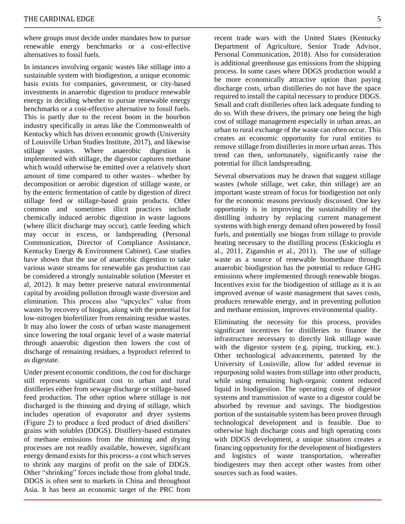where groups must decide under mandates how to pursue renewable energy benchmarks or a cost-effective alternatives to fossil fuels.

In instances involving organic wastes like stillage into a sustainable system with biodigestion, a unique economic basis exists for companies, government, or city-based investments in anaerobic digestion to produce renewable energy in deciding whether to pursue renewable energy benchmarks or a cost-effective alternative to fossil fuels. This is partly due to the recent boom in the bourbon industry specifically in areas like the Commonwealth of Kentucky which has driven economic growth (University of Louisville Urban Studies Institute, 2017), and likewise stillage wastes. Where anaerobic digestion is implemented with stillage, the digestor captures methane which would otherwise be emitted over a relatively short amount of time compared to other wastes– whether by decomposition or aerobic digestion of stillage waste, or by the enteric fermentation of cattle by digestion of direct stillage feed or stillage-based grain products. Other common and sometimes illicit practices include chemically induced aerobic digestion in waste lagoons (where illicit discharge may occur), cattle feeding which may occur in excess, or landspreading (Personal Communication, Director of Compliance Assistance, Kentucky Energy & Environment Cabinet). Case studies have shown that the use of anaerobic digestion to take various waste streams for renewable gas production can be considered a strongly sustainable solution (Meester et al, 2012). It may better preserve natural environmental capital by avoiding pollution through waste diversion and elimination. This process also "upcycles" value from wastes by recovery of biogas, along with the potential for low-nitrogen biofertilizer from remaining residue wastes. It may also lower the costs of urban waste management since lowering the total organic level of a waste material through anaerobic digestion then lowers the cost of discharge of remaining residues, a byproduct referred to as digestate.

Under present economic conditions, the cost for discharge still represents significant cost to urban and rural distilleries either from sewage discharge or stillage-based feed production. The other option where stillage is not discharged is the thinning and drying of stillage, which includes operation of evaporator and dryer systems (Figure 2) to produce a feed product of dried distillers' grains with solubles (DDGS). Distillery-based estimates of methane emissions from the thinning and drying processes are not readily available, however, significant energy demand exists for this process- a cost which serves to shrink any margins of profit on the sale of DDGS. Other "shrinking" forces include those from global trade, DDGS is often sent to markets in China and throughout Asia. It has been an economic target of the PRC from

recent trade wars with the United States (Kentucky Department of Agriculture, Senior Trade Advisor, Personal Communication, 2018). Also for consideration is additional greenhouse gas emissions from the shipping process. In some cases where DDGS production would a be more economically attractive option than paying discharge costs, urban distilleries do not have the space required to install the capital necessary to produce DDGS. Small and craft distilleries often lack adequate funding to do so. With these drivers, the primary one being the high cost of stillage management especially in urban areas, an urban to rural exchange of the waste can often occur. This creates an economic opportunity for rural entities to remove stillage from distilleries in more urban areas. This trend can then, unfortunately, significantly raise the potential for illicit landspreading.

Several observations may be drawn that suggest stillage wastes (whole stillage, wet cake, thin stillage) are an important waste stream of focus for biodigestion not only for the economic reasons previously discussed. One key opportunity is in improving the sustainability of the distilling industry by replacing current management systems with high energy demand often powered by fossil fuels, and potentially use biogas from stillage to provide heating necessary to the distilling process (Eskicioglu et al., 2011, Ziganshin et al., 2011). The use of stillage waste as a source of renewable biomethane through anaerobic biodigestion has the potential to reduce GHG emissions where implemented through renewable biogas. Incentives exist for the biodigestion of stillage as it is an improved avenue of waste management that saves costs, produces renewable energy, and in preventing pollution and methane emission, improves environmental quality.

Eliminating the necessity for this process, provides significant incentives for distilleries to finance the infrastructure necessary to directly link stillage waste with the digestor system (e.g. piping, trucking, etc.). Other technological advancements, patented by the University of Louisville, allow for added revenue in repurposing solid wastes from stillage into other products, while using remaining high-organic content reduced liquid in biodigestion. The operating costs of digestor systems and transmission of waste to a digestor could be absorbed by revenue and savings. The biodigestion portion of the sustainable system has been proven through technological development and is feasible. Due to otherwise high discharge costs and high operating costs with DDGS development, a unique situation creates a financing opportunity for the development of biodigesters and logistics of waste transportation, whereafter biodigesters may then accept other wastes from other sources such as food wastes.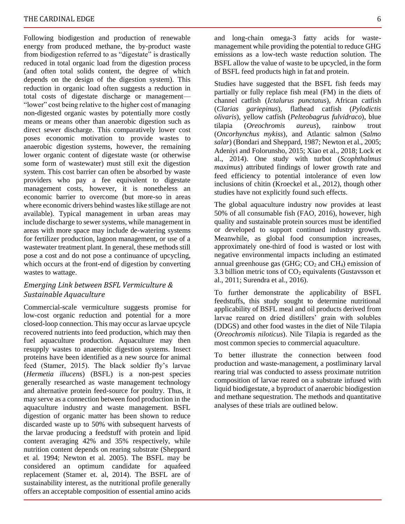Following biodigestion and production of renewable energy from produced methane, the by-product waste from biodigestion referred to as "digestate" is drastically reduced in total organic load from the digestion process (and often total solids content, the degree of which depends on the design of the digestion system). This reduction in organic load often suggests a reduction in total costs of digestate discharge or management— "lower" cost being relative to the higher cost of managing non-digested organic wastes by potentially more costly means or means other than anaerobic digestion such as direct sewer discharge. This comparatively lower cost poses economic motivation to provide wastes to anaerobic digestion systems, however, the remaining lower organic content of digestate waste (or otherwise some form of wastewater) must still exit the digestion system. This cost barrier can often be absorbed by waste providers who pay a fee equivalent to digestate management costs, however, it is nonetheless an economic barrier to overcome (but more-so in areas where economic drivers behind wastes like stillage are not available). Typical management in urban areas may include discharge to sewer systems, while management in areas with more space may include de-watering systems for fertilizer production, lagoon management, or use of a wastewater treatment plant. In general, these methods still pose a cost and do not pose a continuance of upcycling, which occurs at the front-end of digestion by converting wastes to wattage.

#### *Emerging Link between BSFL Vermiculture & Sustainable Aquaculture*

Commercial-scale vermiculture suggests promise for low-cost organic reduction and potential for a more closed-loop connection. This may occur as larvae upcycle recovered nutrients into feed production, which may then fuel aquaculture production. Aquaculture may then resupply wastes to anaerobic digestion systems. Insect proteins have been identified as a new source for animal feed (Stamer, 2015). The black soldier fly's larvae (*Hermetia illucens*) (BSFL) is a non-pest species generally researched as waste management technology and alternative protein feed-source for poultry. Thus, it may serve as a connection between food production in the aquaculture industry and waste management. BSFL digestion of organic matter has been shown to reduce discarded waste up to 50% with subsequent harvests of the larvae producing a feedstuff with protein and lipid content averaging 42% and 35% respectively, while nutrition content depends on rearing substrate (Sheppard et al. 1994; Newton et al. 2005). The BSFL may be considered an optimum candidate for aquafeed replacement (Stamer et. al, 2014). The BSFL are of sustainability interest, as the nutritional profile generally offers an acceptable composition of essential amino acids

and long-chain omega-3 fatty acids for wastemanagement while providing the potential to reduce GHG emissions as a low-tech waste reduction solution. The BSFL allow the value of waste to be upcycled, in the form of BSFL feed products high in fat and protein.

Studies have suggested that the BSFL fish feeds may partially or fully replace fish meal (FM) in the diets of channel catfish (*Ictalurus punctatus*), African catfish (*Clarias gariepinus*), flathead catfish (*Pylodictis olivaris*), yellow catfish (*Pelteobagrus fulvidraco*), blue tilapia (*Oreochromis aureus*), rainbow trout (*Oncorhynchus mykiss*), and Atlantic salmon (*Salmo salar*) (Bondari and Sheppard, 1987; Newton et al., 2005; Adeniyi and Folorunsho, 2015; Xiao et al., 2018; Lock et al., 2014). One study with turbot (*Scophthalmus maximus*) attributed findings of lower growth rate and feed efficiency to potential intolerance of even low inclusions of chitin (Kroeckel et al., 2012), though other studies have not explicitly found such effects.

The global aquaculture industry now provides at least 50% of all consumable fish (FAO, 2016), however, high quality and sustainable protein sources must be identified or developed to support continued industry growth. Meanwhile, as global food consumption increases, approximately one-third of food is wasted or lost with negative environmental impacts including an estimated annual greenhouse gas (GHG;  $CO<sub>2</sub>$  and CH<sub>4</sub>) emission of 3.3 billion metric tons of  $CO<sub>2</sub>$  equivalents (Gustavsson et al., 2011; Surendra et al., 2016).

To further demonstrate the applicability of BSFL feedstuffs, this study sought to determine nutritional applicability of BSFL meal and oil products derived from larvae reared on dried distillers' grain with solubles (DDGS) and other food wastes in the diet of Nile Tilapia (*Oreochromis niloticus*). Nile Tilapia is regarded as the most common species to commercial aquaculture.

To better illustrate the connection between food production and waste-management, a postliminary larval rearing trial was conducted to assess proximate nutrition composition of larvae reared on a substrate infused with liquid biodigestate, a byproduct of anaerobic biodigestion and methane sequestration. The methods and quantitative analyses of these trials are outlined below.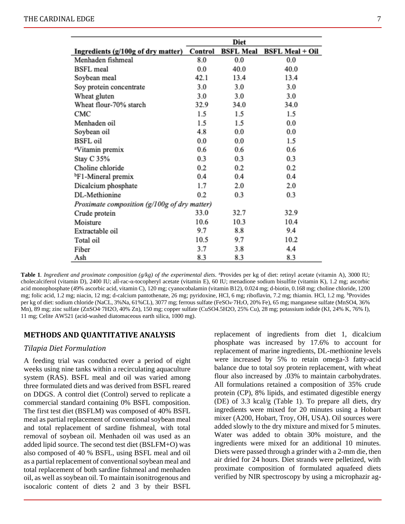|                                              |         | Diet             |                        |
|----------------------------------------------|---------|------------------|------------------------|
| Ingredients (g/100g of dry matter)           | Control | <b>BSFL Meal</b> | <b>BSFL Meal + Oil</b> |
| Menhaden fishmeal                            | 8.0     | 0.0              | 0.0                    |
| <b>BSFL</b> meal                             | 0.0     | 40.0             | 40.0                   |
| Soybean meal                                 | 42.1    | 13.4             | 13.4                   |
| Soy protein concentrate                      | 3.0     | 3.0              | 3.0                    |
| Wheat gluten                                 | 3.0     | 3.0              | 3.0                    |
| Wheat flour-70% starch                       | 32.9    | 34.0             | 34.0                   |
| CMC                                          | 1.5     | 1.5              | 1.5                    |
| Menhaden oil                                 | 1.5     | 1.5              | 0.0                    |
| Soybean oil                                  | 4.8     | 0.0              | 0.0                    |
| <b>BSFL</b> oil                              | 0.0     | 0.0              | 1.5                    |
| <sup>a</sup> Vitamin premix                  | 0.6     | 0.6              | 0.6                    |
| Stay C 35%                                   | 0.3     | 0.3              | 0.3                    |
| Choline chloride                             | 0.2     | 0.2              | 0.2                    |
| <sup>b</sup> F1-Mineral premix               | 0.4     | 0.4              | 0.4                    |
| Dicalcium phosphate                          | 1.7     | 2.0              | 2.0                    |
| DL-Methionine                                | 0.2     | 0.3              | 0.3                    |
| Proximate composition (g/100g of dry matter) |         |                  |                        |
| Crude protein                                | 33.0    | 32.7             | 32.9                   |
| Moisture                                     | 10.6    | 10.3             | 10.4                   |
| Extractable oil                              | 9.7     | 8.8              | 9.4                    |
| Total oil                                    | 10.5    | 9.7              | 10.2                   |
| Fiber                                        | 3.7     | 3.8              | 4.4                    |
| Ash                                          | 8.3     | 8.3              | 8.3                    |

Table 1. Ingredient and proximate composition (g/kg) of the experimental diets. <sup>a</sup>Provides per kg of diet: retinyl acetate (vitamin A), 3000 IU; cholecalciferol (vitamin D), 2400 IU; all-rac-α-tocopheryl acetate (vitamin E), 60 IU; menadione sodium bisulfite (vitamin K), 1.2 mg; ascorbic acid monophosphate (49% ascorbic acid, vitamin C), 120 mg; cyanocobalamin (vitamin B12), 0.024 mg; d-biotin, 0.168 mg; choline chloride, 1200 mg; folic acid, 1.2 mg; niacin, 12 mg; d-calcium pantothenate, 26 mg; pyridoxine, HCl, 6 mg; riboflavin, 7.2 mg; thiamin. HCl, 1.2 mg. <sup>b</sup>Provides per kg of diet: sodium chloride (NaCL, 3%Na, 61%CL), 3077 mg; ferrous sulfate (FeSO4·7H2O, 20% Fe), 65 mg; manganese sulfate (MnSO4, 36% Mn), 89 mg; zinc sulfate (ZnSO4·7H2O, 40% Zn), 150 mg; copper sulfate (CuSO4.5H2O, 25% Cu), 28 mg; potassium iodide (KI, 24% K, 76% I), 11 mg; Celite AW521 (acid-washed diatomaceous earth silica, 1000 mg).

#### **METHODS AND QUANTITATIVE ANALYSIS**

#### *Tilapia Diet Formulation*

A feeding trial was conducted over a period of eight weeks using nine tanks within a recirculating aquaculture system (RAS). BSFL meal and oil was varied among three formulated diets and was derived from BSFL reared on DDGS. A control diet (Control) served to replicate a commercial standard containing 0% BSFL composition. The first test diet (BSFLM) was composed of 40% BSFL meal as partial replacement of conventional soybean meal and total replacement of sardine fishmeal, with total removal of soybean oil. Menhaden oil was used as an added lipid source. The second test diet (BSLFM+O) was also composed of 40 % BSFL, using BSFL meal and oil as a partial replacement of conventional soybean meal and total replacement of both sardine fishmeal and menhaden oil, as well as soybean oil. To maintain isonitrogenous and isocaloric content of diets 2 and 3 by their BSFL replacement of ingredients from diet 1, dicalcium phosphate was increased by 17.6% to account for replacement of marine ingredients, DL-methionine levels were increased by 5% to retain omega-3 fatty-acid balance due to total soy protein replacement, with wheat flour also increased by .03% to maintain carbohydrates. All formulations retained a composition of 35% crude protein (CP), 8% lipids, and estimated digestible energy (DE) of 3.3 kcal/g (Table 1). To prepare all diets, dry ingredients were mixed for 20 minutes using a Hobart mixer (A200, Hobart, Troy, OH, USA). Oil sources were added slowly to the dry mixture and mixed for 5 minutes. Water was added to obtain 30% moisture, and the ingredients were mixed for an additional 10 minutes. Diets were passed through a grinder with a 2-mm die, then air dried for 24 hours. Diet strands were pelletized, with proximate composition of formulated aquafeed diets verified by NIR spectroscopy by using a microphazir ag-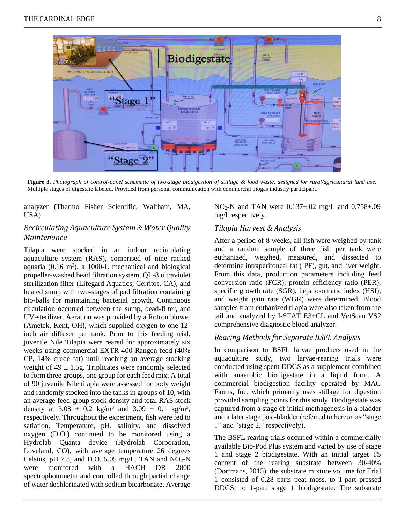

**Figure 3.** *Photograph of control-panel schematic of two-stage biodigestion of stillage & food waste, designed for rural/agricultural land use.*  Multiple stages of digestate labeled. Provided from personal communication with commercial biogas industry participant.

analyzer (Thermo Fisher Scientific, Waltham, MA, USA).

#### *Recirculating Aquaculture System & Water Quality Maintenance*

Tilapia were stocked in an indoor recirculating aquaculture system (RAS), comprised of nine racked aquaria  $(0.16 \text{ m}^3)$ , a 1000-L mechanical and biological propeller-washed bead filtration system, QL-8 ultraviolet sterilization filter (Lifegard Aquatics, Cerritos, CA), and heated sump with two-stages of pad filtration containing bio-balls for maintaining bacterial growth. Continuous circulation occurred between the sump, bead-filter, and UV-sterilizer. Aeration was provided by a Rotron blower (Ametek, Kent, OH), which supplied oxygen to one 12 inch air diffuser per tank. Prior to this feeding trial, juvenile Nile Tilapia were reared for approximately six weeks using commercial EXTR 400 Rangen feed (40% CP, 14% crude fat) until reaching an average stocking weight of  $49 \pm 1.5$ g. Triplicates were randomly selected to form three groups, one group for each feed mix. A total of 90 juvenile Nile tilapia were assessed for body weight and randomly stocked into the tanks in groups of 10, with an average feed-group stock density and total RAS stock density at  $3.08 \pm 0.2$  kg/m<sup>3</sup> and  $3.09 \pm 0.1$  kg/m<sup>3</sup>, respectively. Throughout the experiment, fish were fed to satiation. Temperature, pH, salinity, and dissolved oxygen (D.O.) continued to be monitored using a Hydrolab Quanta device (Hydrolab Corporation, Loveland, CO), with average temperature 26 degrees Celsius, pH 7.8, and D.O. 5.05 mg/L. TAN and  $NO<sub>2</sub>-N$ were monitored with a HACH DR 2800 spectrophotometer and controlled through partial change of water dechlorinated with sodium bicarbonate. Average

 $NO<sub>2</sub>-N$  and TAN were  $0.137\pm.02$  mg/L and  $0.758\pm.09$ mg/l respectively.

#### *Tilapia Harvest & Analysis*

After a period of 8 weeks, all fish were weighed by tank and a random sample of three fish per tank were euthanized, weighed, measured, and dissected to determine intraperitoneal fat (IPF), gut, and liver weight. From this data, production parameters including feed conversion ratio (FCR), protein efficiency ratio (PER), specific growth rate (SGR), hepatosomatic index (HSI), and weight gain rate (WGR) were determined. Blood samples from euthanized tilapia were also taken from the tail and analyzed by I-STAT E3+CL and VetScan VS2 comprehensive diagnostic blood analyzer.

#### *Rearing Methods for Separate BSFL Analysis*

In comparison to BSFL larvae products used in the aquaculture study, two larvae-rearing trials were conducted using spent DDGS as a supplement combined with anaerobic biodigestate in a liquid form. A commercial biodigestion facility operated by MAC Farms, Inc. which primarily uses stillage for digestion provided sampling points for this study. Biodigestate was captured from a stage of initial methagenesis in a bladder and a later stage post-bladder (referred to hereon as "stage 1" and "stage 2," respectively).

The BSFL rearing trials occurred within a commercially available Bio-Pod Plus system and varied by use of stage 1 and stage 2 biodigestate. With an initial target TS content of the rearing substrate between 30-40% (Dortmans, 2015), the substrate mixture volume for Trial 1 consisted of 0.28 parts peat moss, to 1-part pressed DDGS, to 1-part stage 1 biodigestate. The substrate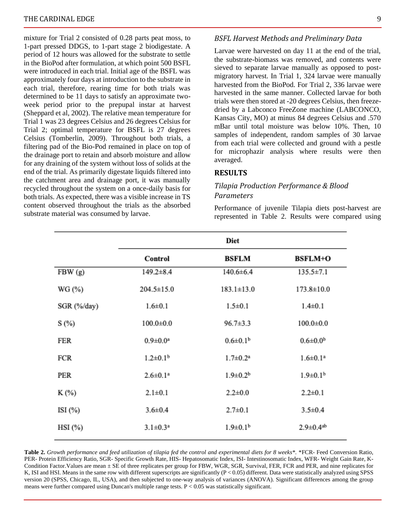mixture for Trial 2 consisted of 0.28 parts peat moss, to 1-part pressed DDGS, to 1-part stage 2 biodigestate. A period of 12 hours was allowed for the substrate to settle in the BioPod after formulation, at which point 500 BSFL were introduced in each trial. Initial age of the BSFL was approximately four days at introduction to the substrate in each trial, therefore, rearing time for both trials was determined to be 11 days to satisfy an approximate twoweek period prior to the prepupal instar at harvest (Sheppard et al, 2002). The relative mean temperature for Trial 1 was 23 degrees Celsius and 26 degrees Celsius for Trial 2; optimal temperature for BSFL is 27 degrees Celsius (Tomberlin, 2009). Throughout both trials, a filtering pad of the Bio-Pod remained in place on top of the drainage port to retain and absorb moisture and allow for any draining of the system without loss of solids at the end of the trial. As primarily digestate liquids filtered into the catchment area and drainage port, it was manually recycled throughout the system on a once-daily basis for both trials. As expected, there was a visible increase in TS content observed throughout the trials as the absorbed substrate material was consumed by larvae.

#### *BSFL Harvest Methods and Preliminary Data*

Larvae were harvested on day 11 at the end of the trial, the substrate-biomass was removed, and contents were sieved to separate larvae manually as opposed to postmigratory harvest. In Trial 1, 324 larvae were manually harvested from the BioPod. For Trial 2, 336 larvae were harvested in the same manner. Collected larvae for both trials were then stored at -20 degrees Celsius, then freezedried by a Labconco FreeZone machine (LABCONCO, Kansas City, MO) at minus 84 degrees Celsius and .570 mBar until total moisture was below 10%. Then, 10 samples of independent, random samples of 30 larvae from each trial were collected and ground with a pestle for microphazir analysis where results were then averaged.

#### **RESULTS**

#### *Tilapia Production Performance & Blood Parameters*

Performance of juvenile Tilapia diets post-harvest are represented in Table 2. Results were compared using

|             | Diet                       |                            |                             |  |
|-------------|----------------------------|----------------------------|-----------------------------|--|
|             | Control                    | <b>BSFLM</b>               | <b>BSFLM+O</b>              |  |
| FBW(g)      | $149.2 \pm 8.4$            | $140.6 \pm 6.4$            | $135.5 \pm 7.1$             |  |
| WG (%)      | $204.5 \pm 15.0$           | $183.1 \pm 13.0$           | $173.8 \pm 10.0$            |  |
| SGR (%/day) | $1.6 + 0.1$                | $1.5 \pm 0.1$              | $1.4 \pm 0.1$               |  |
| S(%)        | $100.0 + 0.0$              | $96.7 \pm 3.3$             | $100.0 \pm 0.0$             |  |
| FER         | $0.9 \pm 0.0^a$            | $0.6 \pm 0.1^{\rm b}$      | $0.6 \pm 0.0^b$             |  |
| FCR         | $1.2 \pm 0.1$ <sup>b</sup> | $1.7 \pm 0.2^a$            | $1.6 \pm 0.1^a$             |  |
| PER         | $2.6 \pm 0.1^a$            | $1.9 \pm 0.2^b$            | $1.9 \pm 0.1$ <sup>b</sup>  |  |
| K (%)       | $2.1 \pm 0.1$              | $2.2 \pm 0.0$              | $2.2 \pm 0.1$               |  |
| ISI $(\%)$  | $3.6 \pm 0.4$              | $2.7 \pm 0.1$              | $3.5 \pm 0.4$               |  |
| $HSI$ (%)   | $3.1 \pm 0.3^a$            | $1.9 \pm 0.1$ <sup>b</sup> | $2.9 \pm 0.4$ <sup>ab</sup> |  |

**Table 2.** *Growth performance and feed utilization of tilapia fed the control and experimental diets for 8 weeks\*.* \*FCR- Feed Conversion Ratio, PER- Protein Efficiency Ratio, SGR- Specific Growth Rate, HIS- Hepatosomatic Index, ISI- Intestinosomatic Index, WFR- Weight Gain Rate, K-Condition Factor. Values are mean  $\pm$  SE of three replicates per group for FBW, WGR, SGR, Survival, FER, FCR and PER, and nine replicates for K, ISI and HSI. Means in the same row with different superscripts are significantly (P < 0.05) different. Data were statistically analyzed using SPSS version 20 (SPSS, Chicago, IL, USA), and then subjected to one-way analysis of variances (ANOVA). Significant differences among the group means were further compared using Duncan's multiple range tests. P < 0.05 was statistically significant.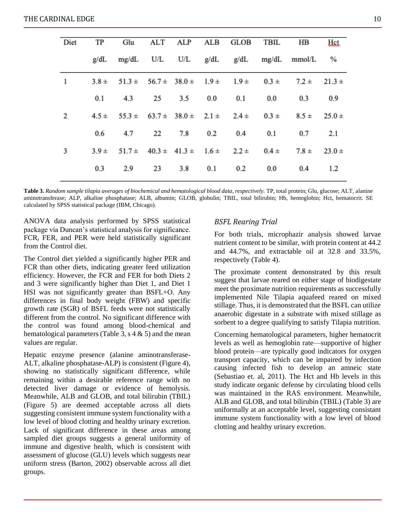| ALT ALP ALB GLOB TBIL<br>Diet<br>TP<br>Glu<br>HB<br>mg/dL U/L U/L g/dL g/dL mg/dL mmol/L %<br>g/dL<br>1<br>$3.8 \pm 51.3 \pm 56.7 \pm 38.0 \pm 1.9 \pm 1.9 \pm 0.3 \pm$<br>$7.2 \pm 21.3 \pm$<br>4.3<br>25<br>0.0<br>0.1<br>3.5<br>0.1<br>0.0<br>0.3<br>2<br>$4.5 \pm 55.3 \pm 63.7 \pm 38.0 \pm 2.1 \pm 2.4 \pm 0.3 \pm 1.5$<br>$8.5 \pm 25.0 \pm 1$<br>4.7<br>22<br>7.8 0.2<br>0.6<br>0.4<br>0.1<br>0.7<br>3<br>$51.7 \pm 40.3 \pm 41.3 \pm 1.6 \pm 2.2 \pm 0.4 \pm 1.5$<br>$3.9 +$<br>$7.8 \pm$<br>3.8 0.1<br>0.3<br>2.9<br>23<br>0.2<br>0.0<br>0.4 |  |  |  |  |            |
|--------------------------------------------------------------------------------------------------------------------------------------------------------------------------------------------------------------------------------------------------------------------------------------------------------------------------------------------------------------------------------------------------------------------------------------------------------------------------------------------------------------------------------------------------------|--|--|--|--|------------|
|                                                                                                                                                                                                                                                                                                                                                                                                                                                                                                                                                        |  |  |  |  | Hct        |
|                                                                                                                                                                                                                                                                                                                                                                                                                                                                                                                                                        |  |  |  |  |            |
|                                                                                                                                                                                                                                                                                                                                                                                                                                                                                                                                                        |  |  |  |  |            |
|                                                                                                                                                                                                                                                                                                                                                                                                                                                                                                                                                        |  |  |  |  | 0.9        |
|                                                                                                                                                                                                                                                                                                                                                                                                                                                                                                                                                        |  |  |  |  |            |
|                                                                                                                                                                                                                                                                                                                                                                                                                                                                                                                                                        |  |  |  |  | 2.1        |
|                                                                                                                                                                                                                                                                                                                                                                                                                                                                                                                                                        |  |  |  |  | $23.0 \pm$ |
|                                                                                                                                                                                                                                                                                                                                                                                                                                                                                                                                                        |  |  |  |  | 1.2        |

**Table 3.** *Random sample tilapia averages of biochemical and hematological blood data, respectively.* TP, total protein; Glu, glucose; ALT, alanine aminotransferase; ALP, alkaline phosphatase; ALB, albumin; GLOB, globulin; TBIL, total bilirubin; Hb, hemoglobin; Hct, hematocrit. SE calculated by SPSS statistical package (IBM, Chicago).

ANOVA data analysis performed by SPSS statistical package via Duncan's statistical analysis for significance. FCR, FER, and PER were held statistically significant from the Control diet.

The Control diet yielded a significantly higher PER and FCR than other diets, indicating greater feed utilization efficiency. However, the FCR and FER for both Diets 2 and 3 were significantly higher than Diet 1, and Diet 1 HSI was not significantly greater than BSFL+O. Any differences in final body weight (FBW) and specific growth rate (SGR) of BSFL feeds were not statistically different from the control. No significant difference with the control was found among blood-chemical and hematological parameters (Table 3,  $s$  4  $\&$  5) and the mean values are regular.

Hepatic enzyme presence (alanine aminotransferase-ALT, alkaline phosphatase-ALP) is consistent (Figure 4), showing no statistically significant difference, while remaining within a desirable reference range with no detected liver damage or evidence of hemolysis. Meanwhile, ALB and GLOB, and total bilirubin (TBIL) (Figure 5) are deemed acceptable across all diets suggesting consistent immune system functionality with a low level of blood clotting and healthy urinary excretion. Lack of significant difference in these areas among sampled diet groups suggests a general uniformity of immune and digestive health, which is consistent with assessment of glucose (GLU) levels which suggests near uniform stress (Barton, 2002) observable across all diet groups.

#### *BSFL Rearing Trial*

For both trials, microphazir analysis showed larvae nutrient content to be similar, with protein content at 44.2 and 44.7%, and extractable oil at 32.8 and 33.5%, respectively (Table 4).

The proximate content demonstrated by this result suggest that larvae reared on either stage of biodigestate meet the proximate nutrition requirements as successfully implemented Nile Tilapia aquafeed reared on mixed stillage. Thus, it is demonstrated that the BSFL can utilize anaerobic digestate in a substrate with mixed stillage as sorbent to a degree qualifying to satisfy Tilapia nutrition.

Concerning hematological parameters, higher hematocrit levels as well as hemoglobin rate—supportive of higher blood protein—are typically good indicators for oxygen transport capacity, which can be impaired by infection causing infected fish to develop an amneic state (Sebastiao et. al, 2011). The Hct and Hb levels in this study indicate organic defense by circulating blood cells was maintained in the RAS environment. Meanwhile, ALB and GLOB, and total bilirubin (TBIL) (Table 3) are uniformally at an acceptable level, suggesting consistant immune system functionality with a low level of blood clotting and healthy urinary excretion.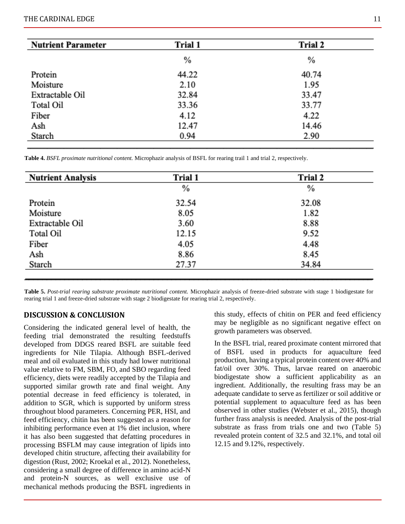| <b>Nutrient Parameter</b> | Trial 1 | Trial 2 |
|---------------------------|---------|---------|
|                           | %       | %       |
| Protein                   | 44.22   | 40.74   |
| Moisture                  | 2.10    | 1.95    |
| Extractable Oil           | 32.84   | 33.47   |
| Total Oil                 | 33.36   | 33.77   |
| Fiber                     | 4.12    | 4.22    |
| Ash                       | 12.47   | 14.46   |
| Starch                    | 0.94    | 2.90    |

**Table 4.** *BSFL proximate nutritional content.* Microphazir analysis of BSFL for rearing trail 1 and trial 2, respectively.

| <b>Nutrient Analysis</b> | Trial 1 | <b>Trial 2</b> |
|--------------------------|---------|----------------|
|                          | %       | $\%$           |
| Protein                  | 32.54   | 32.08          |
| Moisture                 | 8.05    | 1.82           |
| Extractable Oil          | 3.60    | 8.88           |
| Total Oil                | 12.15   | 9.52           |
| Fiber                    | 4.05    | 4.48           |
| Ash                      | 8.86    | 8.45           |
| Starch                   | 27.37   | 34.84          |
|                          |         |                |

**Table 5.** *Post-trial rearing substrate proximate nutritional content.* Microphazir analysis of freeze-dried substrate with stage 1 biodigestate for rearing trial 1 and freeze-dried substrate with stage 2 biodigestate for rearing trial 2, respectively.

#### **DISCUSSION & CONCLUSION**

Considering the indicated general level of health, the feeding trial demonstrated the resulting feedstuffs developed from DDGS reared BSFL are suitable feed ingredients for Nile Tilapia. Although BSFL-derived meal and oil evaluated in this study had lower nutritional value relative to FM, SBM, FO, and SBO regarding feed efficiency, diets were readily accepted by the Tilapia and supported similar growth rate and final weight. Any potential decrease in feed efficiency is tolerated, in addition to SGR, which is supported by uniform stress throughout blood parameters. Concerning PER, HSI, and feed efficiency, chitin has been suggested as a reason for inhibiting performance even at 1% diet inclusion, where it has also been suggested that defatting procedures in processing BSFLM may cause integration of lipids into developed chitin structure, affecting their availability for digestion (Rust, 2002; Kroekal et al., 2012). Nonetheless, considering a small degree of difference in amino acid-N and protein-N sources, as well exclusive use of mechanical methods producing the BSFL ingredients in

this study, effects of chitin on PER and feed efficiency may be negligible as no significant negative effect on growth parameters was observed.

In the BSFL trial, reared proximate content mirrored that of BSFL used in products for aquaculture feed production, having a typical protein content over 40% and fat/oil over 30%. Thus, larvae reared on anaerobic biodigestate show a sufficient applicability as an ingredient. Additionally, the resulting frass may be an adequate candidate to serve as fertilizer or soil additive or potential supplement to aquaculture feed as has been observed in other studies (Webster et al., 2015), though further frass analysis is needed. Analysis of the post-trial substrate as frass from trials one and two (Table 5) revealed protein content of 32.5 and 32.1%, and total oil 12.15 and 9.12%, respectively.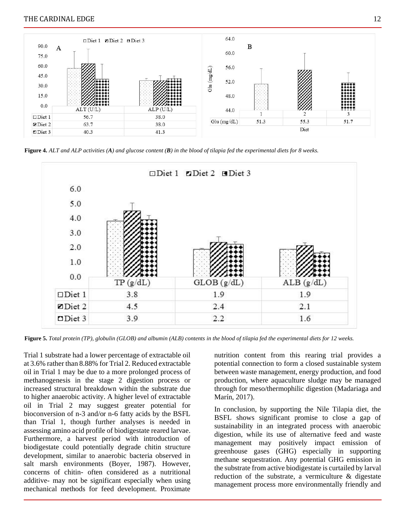#### THE CARDINAL EDGE 12



**Figure 4.** *ALT and ALP activities (A) and glucose content (B) in the blood of tilapia fed the experimental diets for 8 weeks.*



**Figure 5.** *Total protein (TP), globulin (GLOB) and albumin (ALB) contents in the blood of tilapia fed the experimental diets for 12 weeks.* 

Trial 1 substrate had a lower percentage of extractable oil at 3.6% rather than 8.88% for Trial 2. Reduced extractable oil in Trial 1 may be due to a more prolonged process of methanogenesis in the stage 2 digestion process or increased structural breakdown within the substrate due to higher anaerobic activity. A higher level of extractable oil in Trial 2 may suggest greater potential for bioconversion of n-3 and/or n-6 fatty acids by the BSFL than Trial 1, though further analyses is needed in assessing amino acid profile of biodigestate reared larvae. Furthermore, a harvest period with introduction of biodigestate could potentially degrade chitin structure development, similar to anaerobic bacteria observed in salt marsh environments (Boyer, 1987). However, concerns of chitin- often considered as a nutritional additive- may not be significant especially when using mechanical methods for feed development. Proximate nutrition content from this rearing trial provides a potential connection to form a closed sustainable system between waste management, energy production, and food production, where aquaculture sludge may be managed through for meso/thermophilic digestion (Madariaga and Marín, 2017).

In conclusion, by supporting the Nile Tilapia diet, the BSFL shows significant promise to close a gap of sustainability in an integrated process with anaerobic digestion, while its use of alternative feed and waste management may positively impact emission of greenhouse gases (GHG) especially in supporting methane sequestration. Any potential GHG emission in the substrate from active biodigestate is curtailed by larval reduction of the substrate, a vermiculture & digestate management process more environmentally friendly and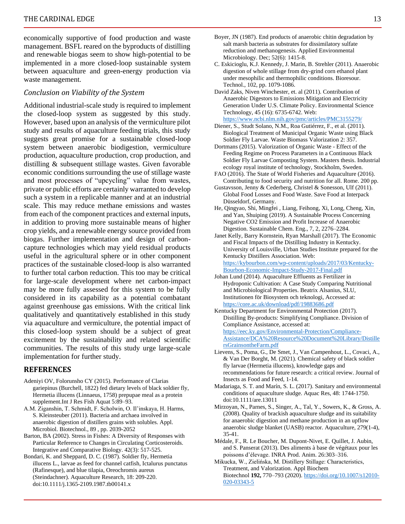economically supportive of food production and waste management. BSFL reared on the byproducts of distilling and renewable biogas seem to show high-potential to be implemented in a more closed-loop sustainable system between aquaculture and green-energy production via waste management.

#### *Conclusion on Viability of the System*

Additional industrial-scale study is required to implement the closed-loop system as suggested by this study. However, based upon an analysis of the vermiculture pilot study and results of aquaculture feeding trials, this study suggests great promise for a sustainable closed-loop system between anaerobic biodigestion, vermiculture production, aquaculture production, crop production, and distilling & subsequent stillage wastes. Given favorable economic conditions surrounding the use of stillage waste and most processes of "upcycling" value from wastes, private or public efforts are certainly warranted to develop such a system in a replicable manner and at an industrial scale. This may reduce methane emissions and wastes from each of the component practices and external inputs, in addition to proving more sustainable means of higher crop yields, and a renewable energy source provided from biogas. Further implementation and design of carboncapture technologies which may yield residual products useful in the agricultural sphere or in other component practices of the sustainable closed-loop is also warranted to further total carbon reduction. This too may be critical for large-scale development where net carbon-impact may be more fully assessed for this system to be fully considered in its capability as a potential combatant against greenhouse gas emissions. With the critical link qualitatively and quantitatively established in this study via aquaculture and vermiculture, the potential impact of this closed-loop system should be a subject of great excitement by the sustainability and related scientific communities. The results of this study urge large-scale implementation for further study.

#### **REFERENCES**

- Adeniyi OV, Folorunsho CY (2015). Performance of Clarias gariepinus (Burchell, 1822) fed dietary levels of black soldier fly, Hermetia illucens (Linnaeus, 1758) prepupae meal as a protein supplement.Int J Res Fish Aquat 5:89–93.
- A.M. Ziganshin, T. Schmidt, F. Scholwin, O. Il'inskaya, H. Harms, S. Kleinsteuber (2011). Bacteria and archaea involved in anaerobic digestion of distillers grains with solubles. Appl. Microbiol. Biotechnol., 89 , pp. 2039-2052
- Barton, BA (2002). Stress in Fishes: A Diversity of Responses with Particular Reference to Changes in Circulating Corticosteroids. Integrative and Comparative Biology. 42(3): 517-525.
- Bondari, K. and Sheppard, D. C. (1987). Soldier fly, Hermetia illucens L., larvae as feed for channel catfish, Ictalurus punctatus (Rafinesque), and blue tilapia, Oreochromis aureus (Steindachner). Aquaculture Research, 18: 209-220. doi:10.1111/j.1365-2109.1987.tb00141.x
- Boyer, JN (1987). End products of anaerobic chitin degradation by salt marsh bacteria as substrates for dissimilatory sulfate reduction and methanogenesis. Applied Environmental Microbiology. Dec; 52(6): 1415-8.
- C. Eskicioglu, K.J. Kennedy, J. Marin, B. Strehler (2011). Anaerobic digestion of whole stillage from dry-grind corn ethanol plant under mesophilic and thermophilic conditions. Bioresour. Technol., 102, pp. 1079-1086.
- David Zaks, Niven Winchester, et. al (2011). Contribution of Anaerobic Digestors to Emissions Mitigation and Electricity Generation Under U.S. Climate Policy. Environmental Science Technology, 45 (16): 6735-6742. Web: <https://www.ncbi.nlm.nih.gov/pmc/articles/PMC3155279/>
- Diener, S., Studt Solano, N.M., Roa Gutiérrez, F., et al. (2011). Biological Treatment of Municipal Organic Waste using Black Soldier Fly Larvae. Waste Biomass Valorization 2: 357.
- Dortmans (2015). Valorization of Organic Waste Effect of the Feeding Regime on Process Parameters in a Continuous Black Soldier Fly Larvae Composting System. Masters thesis. Industrial ecology royal institute of technology, Stockholm, Sweden.
- FAO (2016). The State of World Fisheries and Aquaculture (2016). Contributing to food security and nutrition for all. Rome. 200 pp.
- Gustavsson, Jenny & Cederberg, Christel & Sonesson, Ulf (2011). Global Food Losses and Food Waste. Save Food at Interpack Düsseldorf, Germany.
- He, Qingyao, Shi, Mingfei , Liang, Feihong, Xi, Long, Cheng, Xin, and Yan, Shuiping (2019). A Sustainable Process Concerning Negative CO2 Emission and Profit Increase of Anaerobic Digestion. Sustainable Chem. Eng., 7, 2, 2276–2284.
- Janet Kelly, Barry Kornstein, Ryan Marshall (2017). The Economic and Fiscal Impacts of the Distilling Industry in Kentucky. University of Louisville, Urban Studies Institute prepared for the Kentucky Distillers Association. Web: [https://kybourbon.com/wp-content/uploads/2017/03/Kentucky-](https://kybourbon.com/wp-content/uploads/2017/03/Kentucky-Bourbon-Economic-Impact-Study-2017-Final.pdf)[Bourbon-Economic-Impact-Study-2017-Final.pdf](https://kybourbon.com/wp-content/uploads/2017/03/Kentucky-Bourbon-Economic-Impact-Study-2017-Final.pdf)
- Johan Lund (2014). Aquaculture Effluents as Fertilizer in Hydroponic Cultivation: A Case Study Comparing Nutritional and Microbiological Properties. Beatrix Alsanius, SLU, Institutionen för Biosystem och teknologi, Accessed at: <https://core.ac.uk/download/pdf/19883686.pdf>
- Kentucky Department for Environmental Protection (2017). Distilling By-products: Simplifying Compliance. Division of Compliance Assistance, accessed at: [https://eec.ky.gov/Environmental-Protection/Compliance-](https://eec.ky.gov/Environmental-Protection/Compliance-Assistance/DCA%20Resource%20Document%20Library/DistillersGrainsontheFarm.pdf)[Assistance/DCA%20Resource%20Document%20Library/Distille](https://eec.ky.gov/Environmental-Protection/Compliance-Assistance/DCA%20Resource%20Document%20Library/DistillersGrainsontheFarm.pdf) [rsGrainsontheFarm.pdf](https://eec.ky.gov/Environmental-Protection/Compliance-Assistance/DCA%20Resource%20Document%20Library/DistillersGrainsontheFarm.pdf)
- Lievens, S., Poma, G., De Smet, J., Van Campenhout, L., Covaci, A., & Van Der Borght, M. (2021). Chemical safety of black soldier fly larvae (Hermetia illucens), knowledge gaps and recommendations for future research: a critical review. Journal of Insects as Food and Feed, 1-14.
- Madariaga, S. T. and Marín, S. L. (2017). Sanitary and environmental conditions of aquaculture sludge. Aquac Res, 48: 1744-1750. doi:10.1111/are.13011
- Mirzoyan, N., Parnes, S., Singer, A., Tal, Y., Sowers, K., & Gross, A. (2008). Quality of brackish aquaculture sludge and its suitability for anaerobic digestion and methane production in an upflow anaerobic sludge blanket (UASB) reactor. Aquaculture, 279(1-4), 35-41.
- Médale, F., R. Le Boucher, M. Dupont-Nivet, E. Quillet, J. Aubin, and S. Panserat (2013). Des aliments à base de végétaux pour les poissons d'élevage. INRA Prod. Anim. 26:303–316.
- Mikucka, W., Zielińska, M. Distillery Stillage: Characteristics, Treatment, and Valorization. Appl Biochem Biotechnol **192,** 770–793 (2020)[. https://doi.org/10.1007/s12010-](https://doi.org/10.1007/s12010-020-03343-5) [020-03343-5](https://doi.org/10.1007/s12010-020-03343-5)